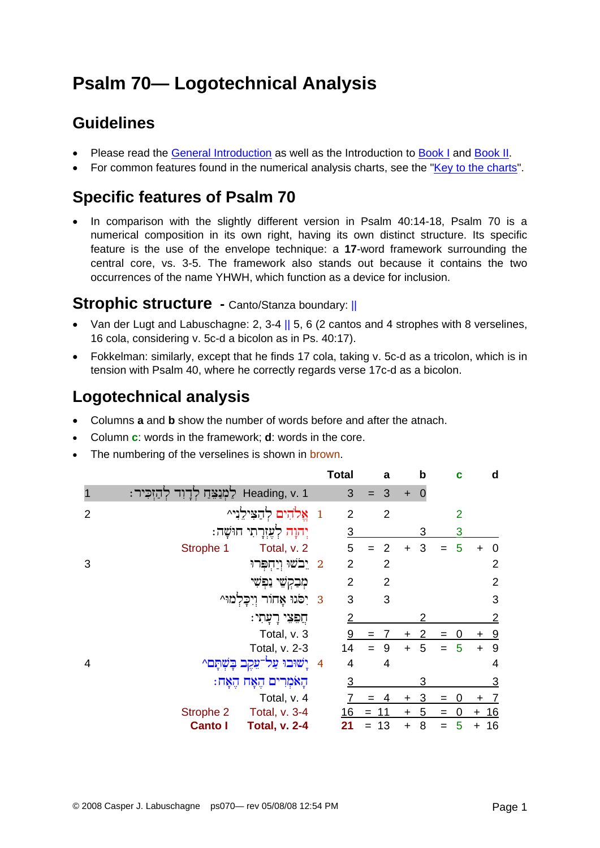# **Psalm 70— Logotechnical Analysis**

# **Guidelines**

- Please read the [General Introduction](http://www.labuschagne.nl/aspects.pdf) as well as the Introduction to [Book I](http://www.labuschagne.nl/intro1.pdf) and [Book II](http://www.labuschagne.nl/intro2.pdf).
- For common features found in the numerical analysis charts, see the "[Key to the charts](http://www.labuschagne.nl/keytocharts.pdf)".

## **Specific features of Psalm 70**

• In comparison with the slightly different version in Psalm 40:14-18, Psalm 70 is a numerical composition in its own right, having its own distinct structure. Its specific feature is the use of the envelope technique: a **17**-word framework surrounding the central core, vs. 3-5. The framework also stands out because it contains the two occurrences of the name YHWH, which function as a device for inclusion.

### Strophic structure - Canto/Stanza boundary: ||

- Van der Lugt and Labuschagne: 2, 3-4 || 5, 6 (2 cantos and 4 strophes with 8 verselines, 16 cola, considering v. 5c-d a bicolon as in Ps. 40:17).
- Fokkelman: similarly, except that he finds 17 cola, taking v. 5c-d as a tricolon, which is in tension with Psalm 40, where he correctly regards verse 17c-d as a bicolon.

# **Logotechnical analysis**

- Columns **a** and **b** show the number of words before and after the atnach.
- Column **c**: words in the framework; **d**: words in the core.
- The numbering of the verselines is shown in brown.

|                |                                        |                | <b>Total</b>   |     | a              |           | b |     | C              |           | d              |
|----------------|----------------------------------------|----------------|----------------|-----|----------------|-----------|---|-----|----------------|-----------|----------------|
|                | דַחִזְכִּיר - Heading, v. 1            |                | 3              |     | 3              | $\ddot{}$ | 0 |     |                |           |                |
| $\overline{2}$ | 1     אֱלֹהִים לְהַצִּילֵנִי^          |                | $\overline{2}$ |     | $\overline{2}$ |           |   |     | $\overline{2}$ |           |                |
|                | יִהוָה לְעָזְרָתִי חוּשָׁה:            |                | $\overline{3}$ |     |                |           | 3 |     | 3              |           |                |
|                | Strophe 1<br>Total, v. 2               |                | 5              |     | $\overline{2}$ |           | 3 |     | 5              |           | 0              |
| 3              | 2 יֵבֹשׁוּ וְיַחְפְּרוּ                |                | $\overline{2}$ |     | $\overline{2}$ |           |   |     |                |           | $\overline{2}$ |
|                | מִבַקְשִׁי נַפְשִׁי                    |                | $\overline{2}$ |     | $\overline{2}$ |           |   |     |                |           | $\overline{2}$ |
|                | 8 יִסְנוּ אָחוֹר וְיִכְלְמוּ^          |                | 3              |     | 3              |           |   |     |                |           | 3              |
|                | חֲפָּצִי רָעָתִי:                      |                | 2              |     |                |           |   |     |                |           | $\overline{2}$ |
|                | Total, v. 3                            |                | 9              | $=$ |                | +         | 2 | $=$ |                | +         | $\overline{9}$ |
|                | Total, v. 2-3                          |                | 14             |     | 9              | $\ddot{}$ | 5 | $=$ | 5              | $\ddot{}$ | 9              |
| 4              | ַיִשׁוּבוּ עַל־<br>בשתם^               | $\overline{4}$ | $\overline{4}$ |     | 4              |           |   |     |                |           | 4              |
|                | הָאֹמְרִים הֶאָח הֶאָח:                |                | 3              |     |                |           | 3 |     |                |           | 3              |
|                | Total, v. 4                            |                |                | $=$ |                | +         | 3 | $=$ |                |           |                |
|                | Strophe 2<br>Total, v. 3-4             |                | 16             | $=$ | 11             | $\ddot{}$ | 5 | $=$ | 0              | $\ddot{}$ | <u> 16</u>     |
|                | <b>Total, v. 2-4</b><br><b>Canto I</b> |                | 21             |     | 13             | $\ddot{}$ | 8 |     | 5              | +         | 16             |